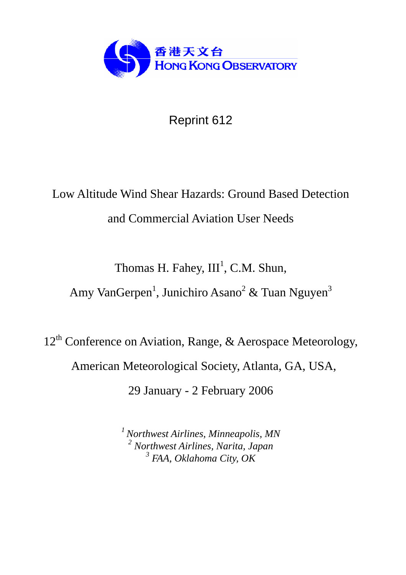

Reprint 612

# Low Altitude Wind Shear Hazards: Ground Based Detection and Commercial Aviation User Needs

Thomas H. Fahey,  $III<sup>1</sup>$ , C.M. Shun,

Amy VanGerpen<sup>1</sup>, Junichiro Asano<sup>2</sup> & Tuan Nguyen<sup>3</sup>

12<sup>th</sup> Conference on Aviation, Range, & Aerospace Meteorology, American Meteorological Society, Atlanta, GA, USA, 29 January - 2 February 2006

> *1 Northwest Airlines, Minneapolis, MN 2 Northwest Airlines, Narita, Japan 3 FAA, Oklahoma City, OK*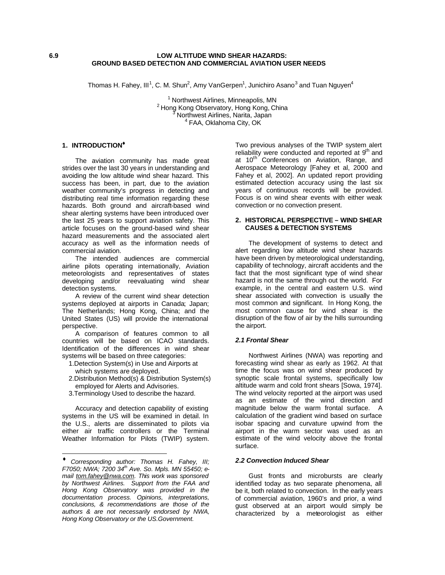#### **6.9 LOW ALTITUDE WIND SHEAR HAZARDS: GROUND BASED DETECTION AND COMMERCIAL AVIATION USER NEEDS**

Thomas H. Fahey, III<sup>1</sup>, C. M. Shun<sup>2</sup>, Amy VanGerpen<sup>1</sup>, Junichiro Asano<sup>3</sup> and Tuan Nguyen<sup>4</sup>

<sup>1</sup> Northwest Airlines, Minneapolis, MN <sup>2</sup> Hong Kong Observatory, Hong Kong, China Northwest Airlines, Narita, Japan <sup>4</sup> FAA, Oklahoma City, OK

### **1. INTRODUCTION¨**

The aviation community has made great strides over the last 30 years in understanding and avoiding the low altitude wind shear hazard. This success has been, in part, due to the aviation weather community's progress in detecting and distributing real time information regarding these hazards. Both ground and aircraft-based wind shear alerting systems have been introduced over the last 25 years to support aviation safety. This article focuses on the ground-based wind shear hazard measurements and the associated alert accuracy as well as the information needs of commercial aviation.

The intended audiences are commercial airline pilots operating internationally, Aviation meteorologists and representatives of states developing and/or reevaluating wind shear detection systems.

A review of the current wind shear detection systems deployed at airports in Canada; Japan; The Netherlands; Hong Kong, China; and the United States (US) will provide the international perspective.

A comparison of features common to all countries will be based on ICAO standards. Identification of the differences in wind shear systems will be based on three categories:

- 1.Detection System(s) in Use and Airports at which systems are deployed.
- 2.Distribution Method(s) & Distribution System(s) employed for Alerts and Advisories.
- 3.Terminology Used to describe the hazard.

Accuracy and detection capability of existing systems in the US will be examined in detail. In the U.S., alerts are disseminated to pilots via either air traffic controllers or the Terminal Weather Information for Pilots (TWIP) system.

 $\overline{a}$ 

Two previous analyses of the TWIP system alert reliability were conducted and reported at 9<sup>th</sup> and at 10<sup>th</sup> Conferences on Aviation, Range, and Aerospace Meteorology [Fahey et al, 2000 and Fahey et al, 2002]. An updated report providing estimated detection accuracy using the last six years of continuous records will be provided. Focus is on wind shear events with either weak convection or no convection present.

#### **2. HISTORICAL PERSPECTIVE – WIND SHEAR CAUSES & DETECTION SYSTEMS**

The development of systems to detect and alert regarding low altitude wind shear hazards have been driven by meteorological understanding, capability of technology, aircraft accidents and the fact that the most significant type of wind shear hazard is not the same through out the world. For example, in the central and eastern U.S. wind shear associated with convection is usually the most common and significant. In Hong Kong, the most common cause for wind shear is the disruption of the flow of air by the hills surrounding the airport.

# *2.1 Frontal Shear*

Northwest Airlines (NWA) was reporting and forecasting wind shear as early as 1962. At that time the focus was on wind shear produced by synoptic scale frontal systems, specifically low altitude warm and cold front shears [Sowa, 1974]. The wind velocity reported at the airport was used as an estimate of the wind direction and magnitude below the warm frontal surface. A calculation of the gradient wind based on surface isobar spacing and curvature upwind from the airport in the warm sector was used as an estimate of the wind velocity above the frontal surface.

#### *2.2 Convection Induced Shear*

Gust fronts and microbursts are clearly identified today as two separate phenomena, all be it, both related to convection. In the early years of commercial aviation, 1960's and prior, a wind gust observed at an airport would simply be characterized by a meteorologist as either

<sup>♦</sup> *Corresponding author: Thomas H. Fahey, III; F7050; NWA; 7200 34th Ave. So. Mpls. MN 55450; email tom.fahey@nwa.com. This work was sponsored by Northwest Airlines. Support from the FAA and Hong Kong Observatory was provided in the documentation process. Opinions, interpretations, conclusions, & recommendations are those of the authors & are not necessarily endorsed by NWA, Hong Kong Observatory or the US.Government.*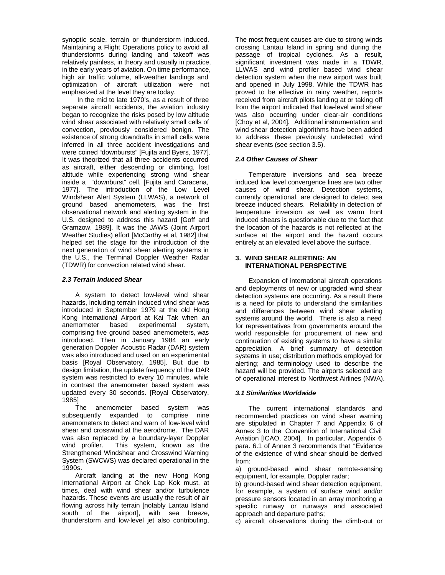synoptic scale, terrain or thunderstorm induced. Maintaining a Flight Operations policy to avoid all thunderstorms during landing and takeoff was relatively painless, in theory and usually in practice, in the early years of aviation. On time performance, high air traffic volume, all-weather landings and optimization of aircraft utilization were not emphasized at the level they are today.

 In the mid to late 1970's, as a result of three separate aircraft accidents, the aviation industry began to recognize the risks posed by low altitude wind shear associated with relatively small cells of convection, previously considered benign. The existence of strong downdrafts in small cells were inferred in all three accident investigations and were coined "downbursts" [Fujita and Byers, 1977]. It was theorized that all three accidents occurred as aircraft, either descending or climbing, lost altitude while experiencing strong wind shear inside a "downburst" cell. [Fujita and Caracena, 1977]. The introduction of the Low Level Windshear Alert System (LLWAS), a network of ground based anemometers, was the first observational network and alerting system in the U.S. designed to address this hazard [Goff and Gramzow, 1989]. It was the JAWS (Joint Airport Weather Studies) effort [McCarthy et al, 1982] that helped set the stage for the introduction of the next generation of wind shear alerting systems in the U.S., the Terminal Doppler Weather Radar (TDWR) for convection related wind shear.

# *2.3 Terrain Induced Shear*

A system to detect low-level wind shear hazards, including terrain induced wind shear was introduced in September 1979 at the old Hong Kong International Airport at Kai Tak when an anemometer based experimental system, comprising five ground based anemometers, was introduced. Then in January 1984 an early generation Doppler Acoustic Radar (DAR) system was also introduced and used on an experimental basis [Royal Observatory, 1985]. But due to design limitation, the update frequency of the DAR system was restricted to every 10 minutes, while in contrast the anemometer based system was updated every 30 seconds. [Royal Observatory, 1985]

The anemometer based system was subsequently expanded to comprise nine anemometers to detect and warn of low-level wind shear and crosswind at the aerodrome. The DAR was also replaced by a boundary-layer Doppler wind profiler. This system, known as the Strengthened Windshear and Crosswind Warning System (SWCWS) was declared operational in the 1990s.

Aircraft landing at the new Hong Kong International Airport at Chek Lap Kok must, at times, deal with wind shear and/or turbulence hazards. These events are usually the result of air flowing across hilly terrain [notably Lantau Island south of the airport], with sea breeze, thunderstorm and low-level jet also contributing.

The most frequent causes are due to strong winds crossing Lantau Island in spring and during the passage of tropical cyclones. As a result, significant investment was made in a TDWR, LLWAS and wind profiler based wind shear detection system when the new airport was built and opened in July 1998. While the TDWR has proved to be effective in rainy weather, reports received from aircraft pilots landing at or taking off from the airport indicated that low-level wind shear was also occurring under clear-air conditions [Choy et al, 2004]. Additional instrumentation and wind shear detection algorithms have been added to address these previously undetected wind shear events (see section 3.5).

# *2.4 Other Causes of Shear*

Temperature inversions and sea breeze induced low level convergence lines are two other causes of wind shear. Detection systems, currently operational, are designed to detect sea breeze induced shears. Reliability in detection of temperature inversion as well as warm front induced shears is questionable due to the fact that the location of the hazards is not reflected at the surface at the airport and the hazard occurs entirely at an elevated level above the surface.

#### **3. WIND SHEAR ALERTING: AN INTERNATIONAL PERSPECTIVE**

Expansion of international aircraft operations and deployments of new or upgraded wind shear detection systems are occurring. As a result there is a need for pilots to understand the similarities and differences between wind shear alerting systems around the world. There is also a need for representatives from governments around the world responsible for procurement of new and continuation of existing systems to have a similar appreciation. A brief summary of detection systems in use; distribution methods employed for alerting; and terminology used to describe the hazard will be provided. The airports selected are of operational interest to Northwest Airlines (NWA).

# *3.1 Similarities Worldwide*

The current international standards and recommended practices on wind shear warning are stipulated in Chapter 7 and Appendix 6 of Annex 3 to the Convention of International Civil Aviation [ICAO, 2004]. In particular, Appendix 6 para. 6.1 of Annex 3 recommends that "Evidence of the existence of wind shear should be derived from:

a) ground-based wind shear remote-sensing equipment, for example, Doppler radar;

b) ground-based wind shear detection equipment, for example, a system of surface wind and/or pressure sensors located in an array monitoring a specific runway or runways and associated approach and departure paths;

c) aircraft observations during the climb-out or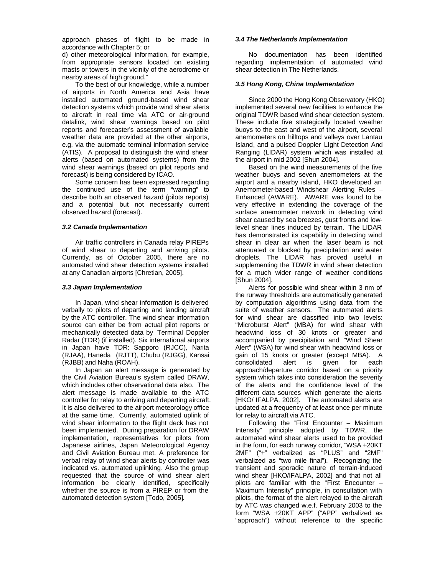approach phases of flight to be made in accordance with Chapter 5; or

d) other meteorological information, for example, from appropriate sensors located on existing masts or towers in the vicinity of the aerodrome or nearby areas of high ground."

To the best of our knowledge, while a number of airports in North America and Asia have installed automated ground-based wind shear detection systems which provide wind shear alerts to aircraft in real time via ATC or air-ground datalink, wind shear warnings based on pilot reports and forecaster's assessment of available weather data are provided at the other airports, e.g. via the automatic terminal information service (ATIS). A proposal to distinguish the wind shear alerts (based on automated systems) from the wind shear warnings (based on pilot reports and forecast) is being considered by ICAO.

Some concern has been expressed regarding the continued use of the term "warning" to describe both an observed hazard (pilots reports) and a potential but not necessarily current observed hazard (forecast).

#### *3.2 Canada Implementation*

Air traffic controllers in Canada relay PIREPs of wind shear to departing and arriving pilots. Currently, as of October 2005, there are no automated wind shear detection systems installed at any Canadian airports [Chretian, 2005].

#### *3.3 Japan Implementation*

In Japan, wind shear information is delivered verbally to pilots of departing and landing aircraft by the ATC controller. The wind shear information source can either be from actual pilot reports or mechanically detected data by Terminal Doppler Radar (TDR) (if installed). Six international airports in Japan have TDR: Sapporo (RJCC), Narita (RJAA), Haneda (RJTT), Chubu (RJGG), Kansai (RJBB) and Naha (ROAH).

In Japan an alert message is generated by the Civil Aviation Bureau's system called DRAW, which includes other observational data also. The alert message is made available to the ATC controller for relay to arriving and departing aircraft. It is also delivered to the airport meteorology office at the same time. Currently, automated uplink of wind shear information to the flight deck has not been implemented. During preparation for DRAW implementation, representatives for pilots from Japanese airlines, Japan Meteorological Agency and Civil Aviation Bureau met. A preference for verbal relay of wind shear alerts by controller was indicated vs. automated uplinking. Also the group requested that the source of wind shear alert information be clearly identified, specifically whether the source is from a PIREP or from the automated detection system [Todo, 2005].

#### *3.4 The Netherlands Implementation*

No documentation has been identified regarding implementation of automated wind shear detection in The Netherlands.

# *3.5 Hong Kong, China Implementation*

Since 2000 the Hong Kong Observatory (HKO) implemented several new facilities to enhance the original TDWR based wind shear detection system. These include five strategically located weather buoys to the east and west of the airport, several anemometers on hilltops and valleys over Lantau Island, and a pulsed Doppler LIght Detection And Ranging (LIDAR) system which was installed at the airport in mid 2002 [Shun 2004].

Based on the wind measurements of the five weather buoys and seven anemometers at the airport and a nearby island, HKO developed an Anemometer-based Windshear Alerting Rules – Enhanced (AWARE). AWARE was found to be very effective in extending the coverage of the surface anemometer network in detecting wind shear caused by sea breezes, gust fronts and lowlevel shear lines induced by terrain. The LIDAR has demonstrated its capability in detecting wind shear in clear air when the laser beam is not attenuated or blocked by precipitation and water droplets. The LIDAR has proved useful in supplementing the TDWR in wind shear detection for a much wider range of weather conditions [Shun 2004].

Alerts for possible wind shear within 3 nm of the runway thresholds are automatically generated by computation algorithms using data from the suite of weather sensors. The automated alerts for wind shear are classified into two levels: "Microburst Alert" (MBA) for wind shear with headwind loss of 30 knots or greater and accompanied by precipitation and "Wind Shear Alert" (WSA) for wind shear with headwind loss or gain of 15 knots or greater (except MBA). A consolidated alert is given for each consolidated alert is given for each approach/departure corridor based on a priority system which takes into consideration the severity of the alerts and the confidence level of the different data sources which generate the alerts [HKO/ IFALPA, 2002]. The automated alerts are updated at a frequency of at least once per minute for relay to aircraft via ATC.

Following the "First Encounter – Maximum Intensity" principle adopted by TDWR, the automated wind shear alerts used to be provided in the form, for each runway corridor, "WSA +20KT 2MF" ("+" verbalized as "PLUS" and "2MF" verbalized as "two mile final"). Recognizing the transient and sporadic nature of terrain-induced wind shear [HKO/IFALPA, 2002] and that not all pilots are familiar with the "First Encounter – Maximum Intensity" principle, in consultation with pilots, the format of the alert relayed to the aircraft by ATC was changed w.e.f. February 2003 to the form "WSA +20KT APP" ("APP" verbalized as "approach") without reference to the specific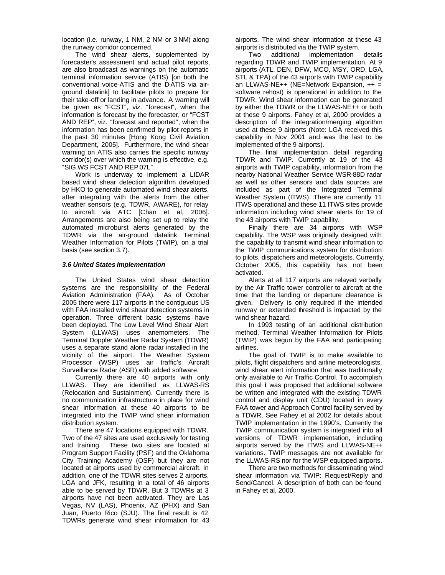location (i.e. runway, 1 NM, 2 NM or 3 NM) along the runway corridor concerned.

The wind shear alerts, supplemented by forecaster's assessment and actual pilot reports, are also broadcast as warnings on the automatic terminal information service (ATIS) [on both the conventional voice-ATIS and the D-ATIS via airground datalink] to facilitate pilots to prepare for their take-off or landing in advance. A warning will be given as "FCST", viz. "forecast", when the information is forecast by the forecaster, or "FCST AND REP", viz. "forecast and reported", when the information has been confirmed by pilot reports in the past 30 minutes [Hong Kong Civil Aviation Department, 2005]. Furthermore, the wind shear warning on ATIS also carries the specific runway corridor(s) over which the warning is effective, e.g. "SIG WS FCST AND REP 07L".

Work is underway to implement a LIDAR based wind shear detection algorithm developed by HKO to generate automated wind shear alerts, after integrating with the alerts from the other weather sensors (e.g. TDWR, AWARE), for relay to aircraft via ATC [Chan et al, 2006]. Arrangements are also being set up to relay the automated microburst alerts generated by the TDWR via the air-ground datalink Terminal Weather Information for Pilots (TWIP), on a trial basis (see section 3.7).

#### *3.6 United States Implementation*

The United States wind shear detection systems are the responsibility of the Federal Aviation Administration (FAA). As of October 2005 there were 117 airports in the contiguous US with FAA installed wind shear detection systems in operation. Three different basic systems have been deployed. The Low Level Wind Shear Alert System (LLWAS) uses anemometers. The Terminal Doppler Weather Radar System (TDWR) uses a separate stand alone radar installed in the vicinity of the airport. The Weather System Processor (WSP) uses air traffic's Aircraft Surveillance Radar (ASR) with added software.

Currently there are 40 airports with only LLWAS. They are identified as LLWAS-RS (Relocation and Sustainment). Currently there is no communication infrastructure in place for wind shear information at these 40 airports to be integrated into the TWIP wind shear information distribution system.

There are 47 locations equipped with TDWR. Two of the 47 sites are used exclusively for testing and training. These two sites are located at Program Support Facility (PSF) and the Oklahoma City Training Academy (OSF) but they are not located at airports used by commercial aircraft. In addition, one of the TDWR sites serves 2 airports, LGA and JFK, resulting in a total of 46 airports able to be served by TDWR. But 3 TDWRs at 3 airports have not been activated. They are Las Vegas, NV (LAS), Phoenix, AZ (PHX) and San Juan, Puerto Rico (SJU). The final result is 42 TDWRs generate wind shear information for 43

airports. The wind shear information at these 43 airports is distributed via the TWIP system.

Two additional implementation details regarding TDWR and TWIP implementation. At 9 airports (ATL, DEN, DFW, MCO, MSY, ORD, LGA, STL & TPA) of the 43 airports with TWIP capability an LLWAS-NE++ (NE=Network Expansion, ++ = software rehost) is operational in addition to the TDWR. Wind shear information can be generated by either the TDWR or the LLWAS-NE++ or both at these 9 airports. Fahey et al, 2000 provides a description of the integration/merging algorithm used at these 9 airports (Note: LGA received this capability in Nov 2001 and was the last to be implemented of the 9 airports).

The final implementation detail regarding TDWR and TWIP. Currently at 19 of the 43 airports with TWIP capability, information from the nearby National Weather Service WSR-88D radar as well as other sensors and data sources are included as part of the Integrated Terminal Weather System (ITWS). There are currently 11 ITWS operational and these 11 ITWS sites provide information including wind shear alerts for 19 of the 43 airports with TWIP capability.

Finally there are 34 airports with WSP capability. The WSP was originally designed with the capability to transmit wind shear information to the TWIP communications system for distribution to pilots, dispatchers and meteorologists. Currently, October 2005, this capability has not been activated.

Alerts at all 117 airports are relayed verbally by the Air Traffic tower controller to aircraft at the time that the landing or departure clearance is given. Delivery is only required if the intended runway or extended threshold is impacted by the wind shear hazard.

In 1993 testing of an additional distribution method, Terminal Weather Information for Pilots (TWIP) was begun by the FAA and participating airlines.

The goal of TWIP is to make available to pilots, flight dispatchers and airline meteorologists, wind shear alert information that was traditionally only available to Air Traffic Control. To accomplish this goal it was proposed that additional software be written and integrated with the existing TDWR control and display unit (CDU) located in every FAA tower and Approach Control facility served by a TDWR. See Fahey et al 2002 for details about TWIP implementation in the 1990's. Currently the TWIP communication system is integrated into all versions of TDWR implementation, including airports served by the ITWS and LLWAS-NE++ variations. TWIP messages are not available for the LLWAS-RS nor for the WSP equipped airports.

There are two methods for disseminating wind shear information via TWIP: Request/Reply and Send/Cancel. A description of both can be found in Fahey et al, 2000.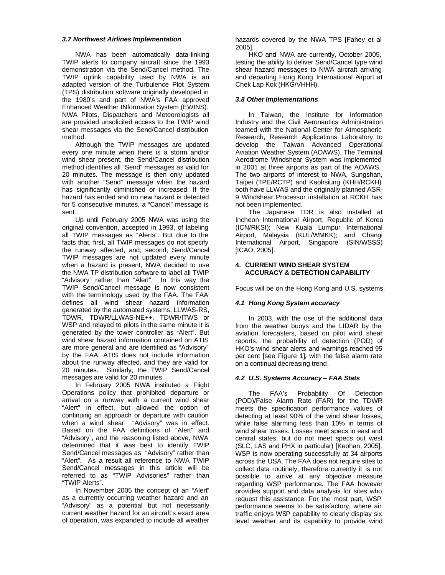### *3.7 Northwest Airlines Implementation*

NWA has been automatically data-linking TWIP alerts to company aircraft since the 1993 demonstration via the Send/Cancel method. The TWIP uplink capability used by NWA is an adapted version of the Turbulence Plot System (TPS) distribution software originally developed in the 1980's and part of NWA's FAA approved Enhanced Weather INformation System (EWINS). NWA Pilots, Dispatchers and Meteorologists all are provided unsolicited access to the TWIP wind shear messages via the Send/Cancel distribution method.

Although the TWIP messages are updated every one minute when there is a storm and/or wind shear present, the Send/Cancel distribution method identifies all "Send" messages as valid for 20 minutes. The message is then only updated with another "Send" message when the hazard has significantly diminished or increased. If the hazard has ended and no new hazard is detected for 5 consecutive minutes, a "Cancel" message is sent.

Up until February 2005 NWA was using the original convention, accepted in 1993, of labeling all TWIP messages as "Alerts". But due to the facts that, first, all TWIP messages do not specify the runway affected, and, second, Send/Cancel TWIP messages are not updated every minute when a hazard is present, NWA decided to use the NWA TP distribution software to label all TWIP "Advisory" rather than "Alert". In this way the TWIP Send/Cancel message is now consistent with the terminology used by the FAA. The FAA defines all wind shear hazard information generated by the automated systems, LLWAS-RS, TDWR, TDWR/LLWAS-NE++, TDWR/ITWS or WSP and relayed to pilots in the same minute it is generated by the tower controller as "Alert". But wind shear hazard information contained on ATIS are more general and are identified as "Advisory" by the FAA. ATIS does not include information about the runway affected, and they are valid for 20 minutes. Similarly, the TWIP Send/Cancel messages are valid for 20 minutes.

In February 2005 NWA instituted a Flight Operations policy that prohibited departure or arrival on a runway with a current wind shear "Alert" in effect, but allowed the option of continuing an approach or departure with caution when a wind shear "Advisory" was in effect. Based on the FAA definitions of "Alert" and "Advisory", and the reasoning listed above, NWA determined that it was best to identify TWIP Send/Cancel messages as "Advisory" rather than "Alert". As a result all reference to NWA TWIP Send/Cancel messages in this article will be referred to as "TWIP Advisories" rather than "TWIP Alerts".

In November 2005 the concept of an "Alert" as a currently occurring weather hazard and an "Advisory" as a potential but not necessarily current weather hazard for an aircraft's exact area of operation, was expanded to include all weather

hazards covered by the NWA TPS [Fahey et al 2005].

HKO and NWA are currently, October 2005, testing the ability to deliver Send/Cancel type wind shear hazard messages to NWA aircraft arriving and departing Hong Kong International Airport at Chek Lap Kok (HKG/VHHH).

### *3.8 Other Implementations*

In Taiwan, the Institute for Information Industry and the Civil Aeronautics Administration teamed with the National Center for Atmospheric Research, Research Applications Laboratory to develop the Taiwan Advanced Operational Aviation Weather System (AOAWS). The Terminal Aerodrome Windshear System was implemented in 2001 at three airports as part of the AOAWS. The two airports of interest to NWA, Sungshan, Taipei (TPE/RCTP) and Kaohsiung (KHH/RCKH) both have LLWAS and the originally planned ASR-9 Windshear Processor installation at RCKH has not been implemented.

The Japanese TDR is also installed at Incheon International Airport, Republic of Korea (ICN/RKSI); New Kuala Lumpur International Airport, Malaysia (KUL/WMKK); and Changi International Airport, Singapore (SIN/WSSS) [ICAO, 2005].

# **4. CURRENT WIND SHEAR SYSTEM ACCURACY & DETECTION CAPABILITY**

Focus will be on the Hong Kong and U.S. systems.

# *4.1 Hong Kong System accuracy*

In 2003, with the use of the additional data from the weather buoys and the LIDAR by the aviation forecasters, based on pilot wind shear reports, the probability of detection (POD) of HKO's wind shear alerts and warnings reached 95 per cent [see Figure 1], with the false alarm rate on a continual decreasing trend.

# *4.2 U.S. Systems Accuracy – FAA Stats*

The FAA's Probability Of Detection (POD)/False Alarm Rate (FAR) for the TDWR meets the specification performance values of detecting at least 90% of the wind shear losses, while false alarming less than 10% in terms of wind shear losses. Losses meet specs in east and central states, but do not meet specs out west (SLC, LAS and PHX in particular) [Keohan, 2005]. WSP is now operating successfully at 34 airports across the USA. The FAA does not require sites to collect data routinely, therefore currently it is not possible to arrive at any objective measure regarding WSP performance. The FAA however provides support and data analysis for sites who request this assistance. For the most part, WSP performance seems to be satisfactory, where air traffic enjoys WSP capability to clearly display six level weather and its capability to provide wind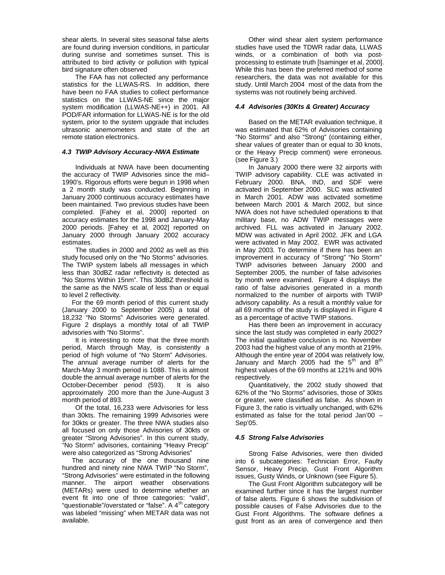shear alerts. In several sites seasonal false alerts are found during inversion conditions, in particular during sunrise and sometimes sunset. This is attributed to bird activity or pollution with typical bird signature often observed

The FAA has not collected any performance statistics for the LLWAS-RS. In addition, there have been no FAA studies to collect performance statistics on the LLWAS-NE since the major system modification (LLWAS-NE++) in 2001. All POD/FAR information for LLWAS-NE is for the old system, prior to the system upgrade that includes ultrasonic anemometers and state of the art remote station electronics.

# *4.3 TWIP Advisory Accuracy-NWA Estimate*

Individuals at NWA have been documenting the accuracy of TWIP Advisories since the mid– 1990's. Rigorous efforts were begun in 1998 when a 2 month study was conducted. Beginning in January 2000 continuous accuracy estimates have been maintained. Two previous studies have been completed. [Fahey et al, 2000] reported on accuracy estimates for the 1998 and January-May 2000 periods. [Fahey et al, 2002] reported on January 2000 through January 2002 accuracy estimates.

The studies in 2000 and 2002 as well as this study focused only on the "No Storms" advisories. The TWIP system labels all messages in which less than 30dBZ radar reflectivity is detected as "No Storms Within 15nm". This 30dBZ threshold is the same as the NWS scale of less than or equal to level 2 reflectivity.

For the 69 month period of this current study (January 2000 to September 2005) a total of 18,232 "No Storms" Advisories were generated. Figure 2 displays a monthly total of all TWIP advisories with "No Storms".

It is interesting to note that the three month period, March through May, is consistently a period of high volume of "No Storm" Advisories. The annual average number of alerts for the March-May 3 month period is 1088. This is almost double the annual average number of alerts for the October-December period (593). It is also approximately 200 more than the June-August 3 month period of 893.

Of the total, 16,233 were Advisories for less than 30kts. The remaining 1999 Advisories were for 30kts or greater. The three NWA studies also all focused on only those Advisories of 30kts or greater "Strong Advisories". In this current study, "No Storm" advisories, containing "Heavy Precip" were also categorized as "Strong Advisories"

The accuracy of the one thousand nine hundred and ninety nine NWA TWIP "No Storm", "Strong Advisories" were estimated in the following manner. The airport weather observations (METARs) were used to determine whether an event fit into one of three categories: "valid", "questionable"/overstated or "false". A 4<sup>th</sup> category was labeled "missing" when METAR data was not available.

Other wind shear alert system performance studies have used the TDWR radar data, LLWAS winds, or a combination of both via postprocessing to estimate truth [Isaminger et al, 2000]. While this has been the preferred method of some researchers, the data was not available for this study. Until March 2004 most of the data from the systems was not routinely being archived.

#### *4.4 Advisories (30Kts & Greater) Accuracy*

Based on the METAR evaluation technique, it was estimated that 62% of Advisories containing "No Storms" and also "Strong" (containing either, shear values of greater than or equal to 30 knots, or the Heavy Precip comment) were erroneous. (see Figure 3.)

In January 2000 there were 32 airports with TWIP advisory capability. CLE was activated in February 2000. BNA, IND, and SDF were activated in September 2000. SLC was activated in March 2001. ADW was activated sometime between March 2001 & March 2002, but since NWA does not have scheduled operations to that military base, no ADW TWIP messages were archived. FLL was activated in January 2002. MDW was activated in April 2002. JFK and LGA were activated in May 2002. EWR was activated in May 2003. To determine if there has been an improvement in accuracy of "Strong" "No Storm" TWIP advisories between January 2000 and September 2005, the number of false advisories by month were examined. Figure 4 displays the ratio of false advisories generated in a month normalized to the number of airports with TWIP advisory capability. As a result a monthly value for all 69 months of the study is displayed in Figure 4 as a percentage of active TWIP stations.

Has there been an improvement in accuracy since the last study was completed in early 2002? The initial qualitative conclusion is no. November 2003 had the highest value of any month at 219%. Although the entire year of 2004 was relatively low, January and March 2005 had the 5<sup>th</sup> and 8<sup>th</sup> highest values of the 69 months at 121% and 90% respectively.

Quantitatively, the 2002 study showed that 62% of the "No Storms" advisories, those of 30kts or greater, were classified as false. As shown in Figure 3, the ratio is virtually unchanged, with 62% estimated as false for the total period Jan'00 – Sep'05.

# *4.5 Strong False Advisories*

Strong False Advisories, were then divided into 6 subcategories: Technician Error, Faulty Sensor, Heavy Precip, Gust Front Algorithm issues, Gusty Winds, or Unknown (see Figure 5).

The Gust Front Algorithm subcategory will be examined further since it has the largest number of false alerts. Figure 6 shows the subdivision of possible causes of False Advisories due to the Gust Front Algorithms. The software defines a gust front as an area of convergence and then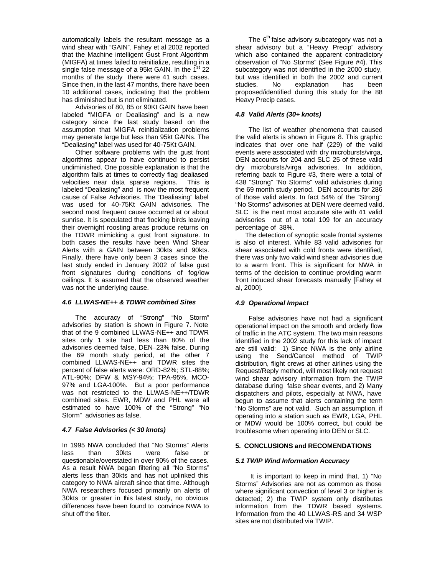automatically labels the resultant message as a wind shear with "GAIN". Fahey et al 2002 reported that the Machine intelligent Gust Front Algorithm (MIGFA) at times failed to reinitialize, resulting in a single false message of a 95kt GAIN. In the  $1<sup>st</sup>$  22 months of the study there were 41 such cases. Since then, in the last 47 months, there have been 10 additional cases, indicating that the problem has diminished but is not eliminated.

Advisories of 80, 85 or 90Kt GAIN have been labeled "MIGFA or Dealiasing" and is a new category since the last study based on the assumption that MIGFA reinitialization problems may generate large but less than 95kt GAINs. The "Dealiasing" label was used for 40-75Kt GAIN.

Other software problems with the gust front algorithms appear to have continued to persist undiminished. One possible explanation is that the algorithm fails at times to correctly flag dealiased velocities near data sparse regions. This is labeled "Dealiasing" and is now the most frequent cause of False Advisories. The "Dealiasing" label was used for 40-75Kt GAIN advisories. The second most frequent cause occurred at or about sunrise. It is speculated that flocking birds leaving their overnight roosting areas produce returns on the TDWR mimicking a gust front signature. In both cases the results have been Wind Shear Alerts with a GAIN between 30kts and 90kts. Finally, there have only been 3 cases since the last study ended in January 2002 of false gust front signatures during conditions of fog/low ceilings. It is assumed that the observed weather was not the underlying cause.

# *4.6 LLWAS-NE++ & TDWR combined Sites*

The accuracy of "Strong" "No Storm" advisories by station is shown in Figure 7. Note that of the 9 combined LLWAS-NE++ and TDWR sites only 1 site had less than 80% of the advisories deemed false, DEN–23% false. During the 69 month study period, at the other 7 combined LLWAS-NE++ and TDWR sites the percent of false alerts were: ORD-82%; STL-88%; ATL-90%; DFW & MSY-94%; TPA-95%, MCO-97% and LGA-100%. But a poor performance was not restricted to the LLWAS-NE++/TDWR combined sites. EWR, MDW and PHL were all estimated to have 100% of the "Strong" "No Storm" advisories as false.

# *4.7 False Advisories (< 30 knots)*

In 1995 NWA concluded that "No Storms" Alerts less than 30kts were false or questionable/overstated in over 90% of the cases. As a result NWA began filtering all "No Storms" alerts less than 30kts and has not uplinked this category to NWA aircraft since that time. Although NWA researchers focused primarily on alerts of 30kts or greater in this latest study, no obvious differences have been found to convince NWA to shut off the filter.

The 6<sup>th</sup> false advisory subcategory was not a shear advisory but a "Heavy Precip" advisory which also contained the apparent contradictory observation of "No Storms" (See Figure #4). This subcategory was not identified in the 2000 study, but was identified in both the 2002 and current<br>studies. No explanation has been No explanation has been proposed/identified during this study for the 88 Heavy Precip cases.

# *4.8 Valid Alerts (30+ knots)*

The list of weather phenomena that caused the valid alerts is shown in Figure 8. This graphic indicates that over one half (229) of the valid events were associated with dry microbursts/virga, DEN accounts for 204 and SLC 25 of these valid dry microbursts/virga advisories. In addition, referring back to Figure #3, there were a total of 438 "Strong" "No Storms" valid advisories during the 69 month study period. DEN accounts for 286 of those valid alerts. In fact 54% of the "Strong" "No Storms" advisories at DEN were deemed valid. SLC is the next most accurate site with 41 valid advisories out of a total 109 for an accuracy percentage of 38%.

The detection of synoptic scale frontal systems is also of interest. While 83 valid advisories for shear associated with cold fronts were identified, there was only two valid wind shear advisories due to a warm front. This is significant for NWA in terms of the decision to continue providing warm front induced shear forecasts manually [Fahey et al, 2000].

# *4.9 Operational Impact*

False advisories have not had a significant operational impact on the smooth and orderly flow of traffic in the ATC system. The two main reasons identified in the 2002 study for this lack of impact are still valid: 1) Since NWA is the only airline using the Send/Cancel method of TWIP distribution, flight crews at other airlines using the Request/Reply method, will most likely not request wind shear advisory information from the TWIP database during false shear events, and 2) Many dispatchers and pilots, especially at NWA, have begun to assume that alerts containing the term "No Storms" are not valid. Such an assumption, if operating into a station such as EWR, LGA, PHL or MDW would be 100% correct, but could be troublesome when operating into DEN or SLC.

# **5. CONCLUSIONS and RECOMENDATIONS**

# *5.1 TWIP Wind Information Accuracy*

It is important to keep in mind that, 1) "No Storms" Advisories are not as common as those where significant convection of level 3 or higher is detected; 2) the TWIP system only distributes information from the TDWR based systems. Information from the 40 LLWAS-RS and 34 WSP sites are not distributed via TWIP.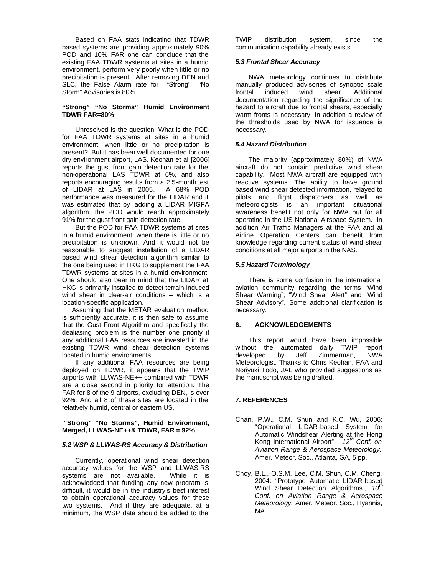Based on FAA stats indicating that TDWR based systems are providing approximately 90% POD and 10% FAR one can conclude that the existing FAA TDWR systems at sites in a humid environment, perform very poorly when little or no precipitation is present. After removing DEN and SLC, the False Alarm rate for "Strong" "No Storm" Advisories is 80%.

#### **"Strong" "No Storms" Humid Environment TDWR FAR=80%**

Unresolved is the question: What is the POD for FAA TDWR systems at sites in a humid environment, when little or no precipitation is present? But it has been well documented for one dry environment airport, LAS. Keohan et al [2006] reports the gust front gain detection rate for the non-operational LAS TDWR at 6%, and also reports encouraging results from a 2.5-month test of LIDAR at LAS in 2005. A 68% POD performance was measured for the LIDAR and it was estimated that by adding a LIDAR MIGFA algorithm, the POD would reach approximately 91% for the gust front gain detection rate.

But the POD for FAA TDWR systems at sites in a humid environment, when there is little or no precipitation is unknown. And it would not be reasonable to suggest installation of a LIDAR based wind shear detection algorithm similar to the one being used in HKG to supplement the FAA TDWR systems at sites in a humid environment. One should also bear in mind that the LIDAR at HKG is primarily installed to detect terrain-induced wind shear in clear-air conditions – which is a location-specific application.

Assuming that the METAR evaluation method is sufficiently accurate, it is then safe to assume that the Gust Front Algorithm and specifically the dealiasing problem is the number one priority if any additional FAA resources are invested in the existing TDWR wind shear detection systems located in humid environments.

If any additional FAA resources are being deployed on TDWR, it appears that the TWIP airports with LLWAS-NE++ combined with TDWR are a close second in priority for attention. The FAR for 8 of the 9 airports, excluding DEN, is over 92%. And all 8 of these sites are located in the relatively humid, central or eastern US.

#### **"Strong" "No Storms", Humid Environment, Merged, LLWAS-NE++& TDWR, FAR = 92%**

#### *5.2 WSP & LLWAS-RS Accuracy & Distribution*

Currently, operational wind shear detection accuracy values for the WSP and LLWAS-RS systems are not available. While it is acknowledged that funding any new program is difficult, it would be in the industry's best interest to obtain operational accuracy values for these two systems. And if they are adequate, at a minimum, the WSP data should be added to the

TWIP distribution system, since the communication capability already exists.

#### *5.3 Frontal Shear Accuracy*

NWA meteorology continues to distribute manually produced advisories of synoptic scale frontal induced wind shear. Additional documentation regarding the significance of the hazard to aircraft due to frontal shears, especially warm fronts is necessary. In addition a review of the thresholds used by NWA for issuance is necessary.

#### *5.4 Hazard Distribution*

The majority (approximately 80%) of NWA aircraft do not contain predictive wind shear capability. Most NWA aircraft are equipped with reactive systems. The ability to have ground based wind shear detected information, relayed to pilots and flight dispatchers as well as meteorologists is an important situational awareness benefit not only for NWA but for all operating in the US National Airspace System. In addition Air Traffic Managers at the FAA and at Airline Operation Centers can benefit from knowledge regarding current status of wind shear conditions at all major airports in the NAS.

#### *5.5 Hazard Terminology*

There is some confusion in the international aviation community regarding the terms "Wind Shear Warning"; "Wind Shear Alert" and "Wind Shear Advisory". Some additional clarification is necessary.

#### **6. ACKNOWLEDGEMENTS**

This report would have been impossible without the automated daily TWIP report developed by Jeff Zimmerman, NWA Meteorologist. Thanks to Chris Keohan, FAA and Noriyuki Todo, JAL who provided suggestions as the manuscript was being drafted.

# **7. REFERENCES**

- Chan, P.W., C.M. Shun and K.C. Wu, 2006: "Operational LIDAR-based System for Automatic Windshear Alerting at the Hong Kong International Airport". *12 th Conf. on Aviation Range & Aerospace Meteorology,*  Amer. Meteor. Soc., Atlanta, GA, 5 pp.
- Choy, B.L., O.S.M. Lee, C.M. Shun, C.M. Cheng, 2004: "Prototype Automatic LIDAR-based Wind Shear Detection Algorithms", *10th Conf. on Aviation Range & Aerospace Meteorology,* Amer. Meteor. Soc., Hyannis, MA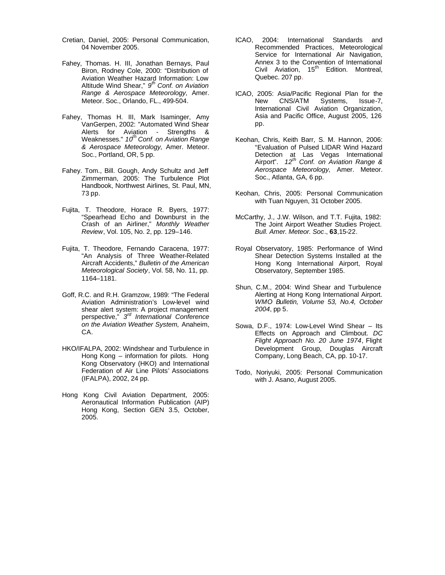- Cretian, Daniel, 2005: Personal Communication, 04 November 2005.
- Fahey, Thomas. H. III, Jonathan Bernays, Paul Biron, Rodney Cole, 2000: "Distribution of Aviation Weather Hazard Information: Low Altitude Wind Shear," *9 th Conf. on Aviation Range & Aerospace Meteorology,* Amer. Meteor. Soc., Orlando, FL., 499-504.
- Fahey, Thomas H. III, Mark Isaminger, Amy VanGerpen, 2002: "Automated Wind Shear Alerts for Aviation - Strengths & Weaknesses." *10th Conf. on Aviation Range & Aerospace Meteorology,* Amer. Meteor. Soc., Portland, OR, 5 pp.
- Fahey. Tom., Bill. Gough, Andy Schultz and Jeff Zimmerman, 2005: The Turbulence Plot Handbook, Northwest Airlines, St. Paul, MN, 73 pp.
- Fujita, T. Theodore, Horace R. Byers, 1977: "Spearhead Echo and Downburst in the Crash of an Airliner," *Monthly Weather Review*, Vol. 105, No. 2, pp. 129–146.
- Fujita, T. Theodore, Fernando Caracena, 1977: "An Analysis of Three Weather-Related Aircraft Accidents," *Bulletin of the American Meteorological Society*, Vol. 58, No. 11, pp. 1164–1181.
- Goff, R.C. and R.H. Gramzow, 1989: "The Federal Aviation Administration's Low-level wind shear alert system: A project management perspective," *3 rd International Conference on the Aviation Weather System,* Anaheim, CA.
- HKO/IFALPA, 2002: Windshear and Turbulence in Hong Kong – information for pilots. Hong Kong Observatory (HKO) and International Federation of Air Line Pilots' Associations (IFALPA), 2002, 24 pp.
- Hong Kong Civil Aviation Department, 2005: Aeronautical Information Publication (AIP) Hong Kong, Section GEN 3.5, October, 2005.
- ICAO, 2004: International Standards and Recommended Practices, Meteorological Service for International Air Navigation, Annex 3 to the Convention of International Civil Aviation, 15<sup>th</sup> Edition. Montreal, Quebec. 207 pp.
- ICAO, 2005: Asia/Pacific Regional Plan for the New CNS/ATM Systems, Issue-7, International Civil Aviation Organization, Asia and Pacific Office, August 2005, 126 pp.
- Keohan, Chris, Keith Barr, S. M. Hannon, 2006: "Evaluation of Pulsed LIDAR Wind Hazard Detection at Las Vegas International Airport". *12 th Conf. on Aviation Range & Aerospace Meteorology,* Amer. Meteor. Soc., Atlanta, GA, 6 pp.
- Keohan, Chris, 2005: Personal Communication with Tuan Nguyen, 31 October 2005.
- McCarthy, J., J.W. Wilson, and T.T. Fujita, 1982: The Joint Airport Weather Studies Project. *Bull. Amer. Meteor. Soc*., **63**,15-22.
- Royal Observatory, 1985: Performance of Wind Shear Detection Systems Installed at the Hong Kong International Airport, Royal Observatory, September 1985.
- Shun, C.M., 2004: Wind Shear and Turbulence Alerting at Hong Kong International Airport. *WMO Bulletin, Volume 53, No.4, October 2004*, pp 5.
- Sowa, D.F., 1974: Low-Level Wind Shear Its Effects on Approach and Climbout. *DC Flight Approach No. 20 June 1974*, Flight Development Group, Douglas Aircraft Company, Long Beach, CA, pp. 10-17.
- Todo, Noriyuki, 2005: Personal Communication with J. Asano, August 2005.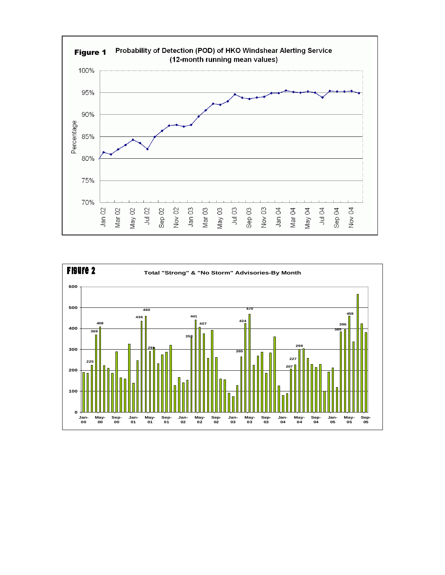

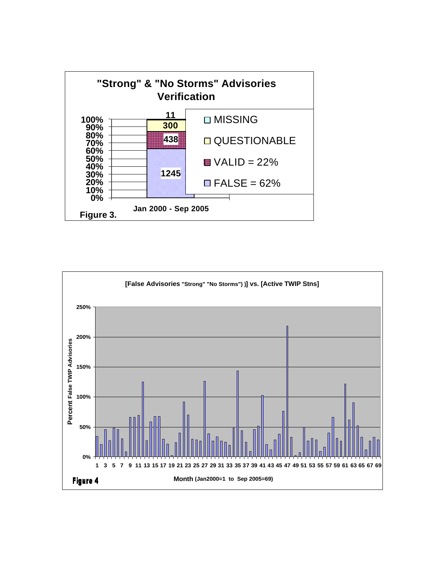